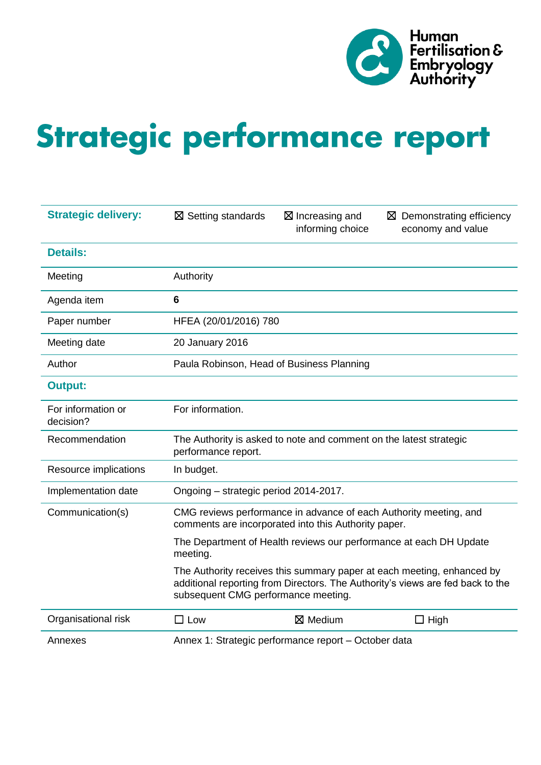

# Strategic performance report

| <b>Strategic delivery:</b>      | $\boxtimes$ Setting standards                                                             | ⊠ Increasing and<br>informing choice                 | $\boxtimes$ Demonstrating efficiency<br>economy and value                                                                                                |  |  |  |  |
|---------------------------------|-------------------------------------------------------------------------------------------|------------------------------------------------------|----------------------------------------------------------------------------------------------------------------------------------------------------------|--|--|--|--|
| <b>Details:</b>                 |                                                                                           |                                                      |                                                                                                                                                          |  |  |  |  |
| Meeting                         | Authority                                                                                 |                                                      |                                                                                                                                                          |  |  |  |  |
| Agenda item                     | $6\phantom{1}6$                                                                           |                                                      |                                                                                                                                                          |  |  |  |  |
| Paper number                    |                                                                                           | HFEA (20/01/2016) 780                                |                                                                                                                                                          |  |  |  |  |
| Meeting date                    | 20 January 2016                                                                           |                                                      |                                                                                                                                                          |  |  |  |  |
| Author                          | Paula Robinson, Head of Business Planning                                                 |                                                      |                                                                                                                                                          |  |  |  |  |
| <b>Output:</b>                  |                                                                                           |                                                      |                                                                                                                                                          |  |  |  |  |
| For information or<br>decision? | For information.                                                                          |                                                      |                                                                                                                                                          |  |  |  |  |
| Recommendation                  | The Authority is asked to note and comment on the latest strategic<br>performance report. |                                                      |                                                                                                                                                          |  |  |  |  |
| Resource implications           | In budget.                                                                                |                                                      |                                                                                                                                                          |  |  |  |  |
| Implementation date             | Ongoing - strategic period 2014-2017.                                                     |                                                      |                                                                                                                                                          |  |  |  |  |
| Communication(s)                |                                                                                           | comments are incorporated into this Authority paper. | CMG reviews performance in advance of each Authority meeting, and                                                                                        |  |  |  |  |
|                                 | meeting.                                                                                  |                                                      | The Department of Health reviews our performance at each DH Update                                                                                       |  |  |  |  |
|                                 | subsequent CMG performance meeting.                                                       |                                                      | The Authority receives this summary paper at each meeting, enhanced by<br>additional reporting from Directors. The Authority's views are fed back to the |  |  |  |  |
| Organisational risk             | $\Box$ Low                                                                                | ⊠ Medium                                             | $\Box$ High                                                                                                                                              |  |  |  |  |
| Annexes                         | Annex 1: Strategic performance report - October data                                      |                                                      |                                                                                                                                                          |  |  |  |  |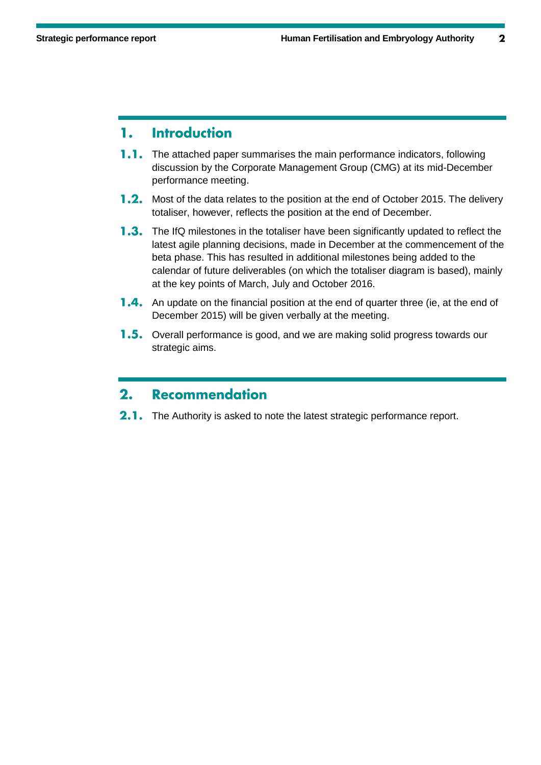### **Introduction** 1.

- $1.1.$ The attached paper summarises the main performance indicators, following discussion by the Corporate Management Group (CMG) at its mid-December performance meeting.
- **1.2.** Most of the data relates to the position at the end of October 2015. The delivery totaliser, however, reflects the position at the end of December.
- **1.3.** The IfQ milestones in the totaliser have been significantly updated to reflect the latest agile planning decisions, made in December at the commencement of the beta phase. This has resulted in additional milestones being added to the calendar of future deliverables (on which the totaliser diagram is based), mainly at the key points of March, July and October 2016.
- **1.4.** An update on the financial position at the end of quarter three (ie, at the end of December 2015) will be given verbally at the meeting.
- **1.5.** Overall performance is good, and we are making solid progress towards our strategic aims.

### **Recommendation**  $2.$

2.1. The Authority is asked to note the latest strategic performance report.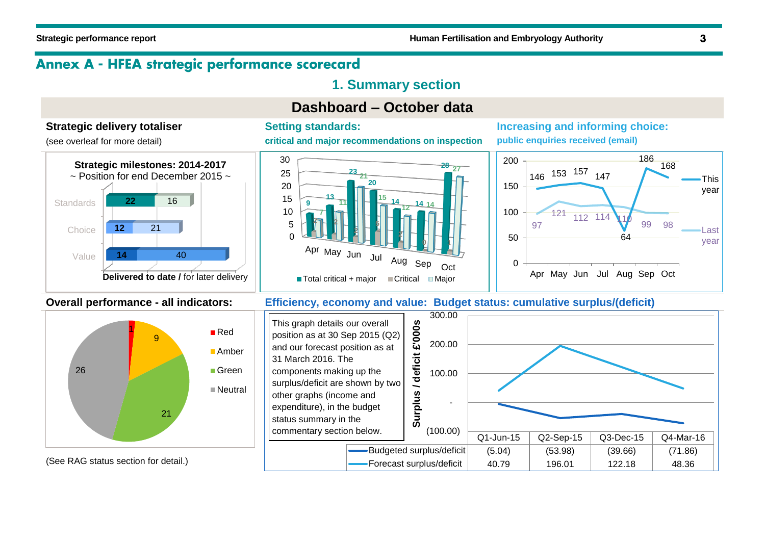# Annex A - HFEA strategic performance scorecard

# **1. Summary section**

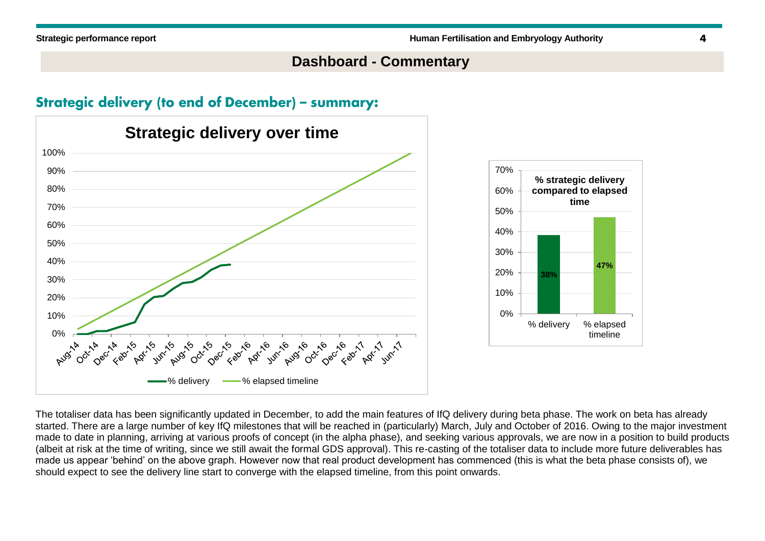# **Dashboard - Commentary**

# **Strategic delivery (to end of December) - summary:**



The totaliser data has been significantly updated in December, to add the main features of IfQ delivery during beta phase. The work on beta has already started. There are a large number of key IfQ milestones that will be reached in (particularly) March, July and October of 2016. Owing to the major investment made to date in planning, arriving at various proofs of concept (in the alpha phase), and seeking various approvals, we are now in a position to build products (albeit at risk at the time of writing, since we still await the formal GDS approval). This re-casting of the totaliser data to include more future deliverables has made us appear 'behind' on the above graph. However now that real product development has commenced (this is what the beta phase consists of), we should expect to see the delivery line start to converge with the elapsed timeline, from this point onwards.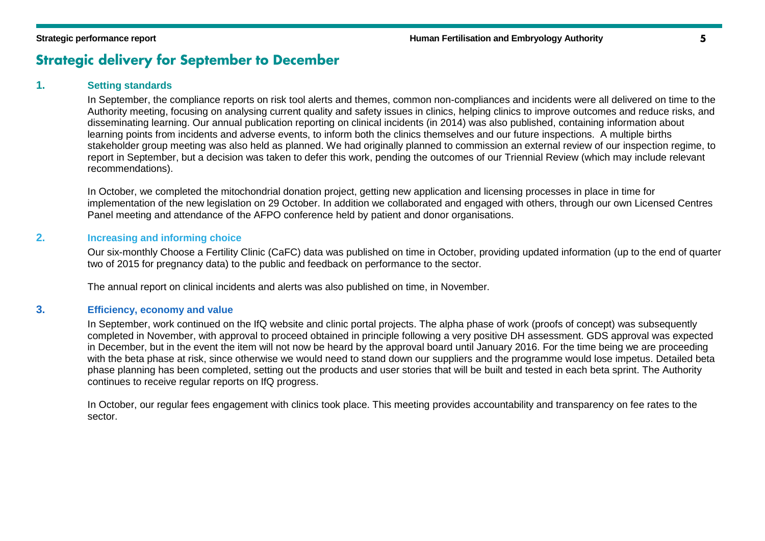# **Strategic delivery for September to December**

### **1. Setting standards**

In September, the compliance reports on risk tool alerts and themes, common non-compliances and incidents were all delivered on time to the Authority meeting, focusing on analysing current quality and safety issues in clinics, helping clinics to improve outcomes and reduce risks, and disseminating learning. Our annual publication reporting on clinical incidents (in 2014) was also published, containing information about learning points from incidents and adverse events, to inform both the clinics themselves and our future inspections. A multiple births stakeholder group meeting was also held as planned. We had originally planned to commission an external review of our inspection regime, to report in September, but a decision was taken to defer this work, pending the outcomes of our Triennial Review (which may include relevant recommendations).

In October, we completed the mitochondrial donation project, getting new application and licensing processes in place in time for implementation of the new legislation on 29 October. In addition we collaborated and engaged with others, through our own Licensed Centres Panel meeting and attendance of the AFPO conference held by patient and donor organisations.

### **2. Increasing and informing choice**

Our six-monthly Choose a Fertility Clinic (CaFC) data was published on time in October, providing updated information (up to the end of quarter two of 2015 for pregnancy data) to the public and feedback on performance to the sector.

The annual report on clinical incidents and alerts was also published on time, in November.

### **3. Efficiency, economy and value**

In September, work continued on the IfQ website and clinic portal projects. The alpha phase of work (proofs of concept) was subsequently completed in November, with approval to proceed obtained in principle following a very positive DH assessment. GDS approval was expected in December, but in the event the item will not now be heard by the approval board until January 2016. For the time being we are proceeding with the beta phase at risk, since otherwise we would need to stand down our suppliers and the programme would lose impetus. Detailed beta phase planning has been completed, setting out the products and user stories that will be built and tested in each beta sprint. The Authority continues to receive regular reports on IfQ progress.

In October, our regular fees engagement with clinics took place. This meeting provides accountability and transparency on fee rates to the sector.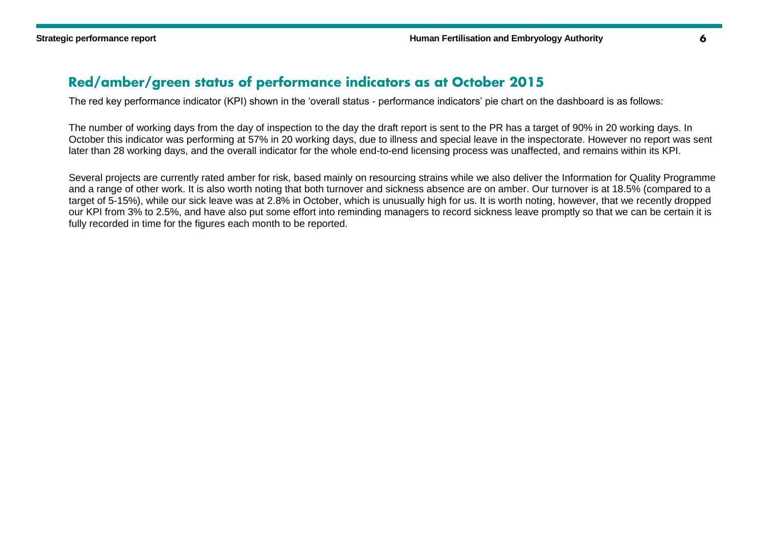## Red/amber/green status of performance indicators as at October 2015

The red key performance indicator (KPI) shown in the 'overall status - performance indicators' pie chart on the dashboard is as follows:

The number of working days from the day of inspection to the day the draft report is sent to the PR has a target of 90% in 20 working days. In October this indicator was performing at 57% in 20 working days, due to illness and special leave in the inspectorate. However no report was sent later than 28 working days, and the overall indicator for the whole end-to-end licensing process was unaffected, and remains within its KPI.

Several projects are currently rated amber for risk, based mainly on resourcing strains while we also deliver the Information for Quality Programme and a range of other work. It is also worth noting that both turnover and sickness absence are on amber. Our turnover is at 18.5% (compared to a target of 5-15%), while our sick leave was at 2.8% in October, which is unusually high for us. It is worth noting, however, that we recently dropped our KPI from 3% to 2.5%, and have also put some effort into reminding managers to record sickness leave promptly so that we can be certain it is fully recorded in time for the figures each month to be reported.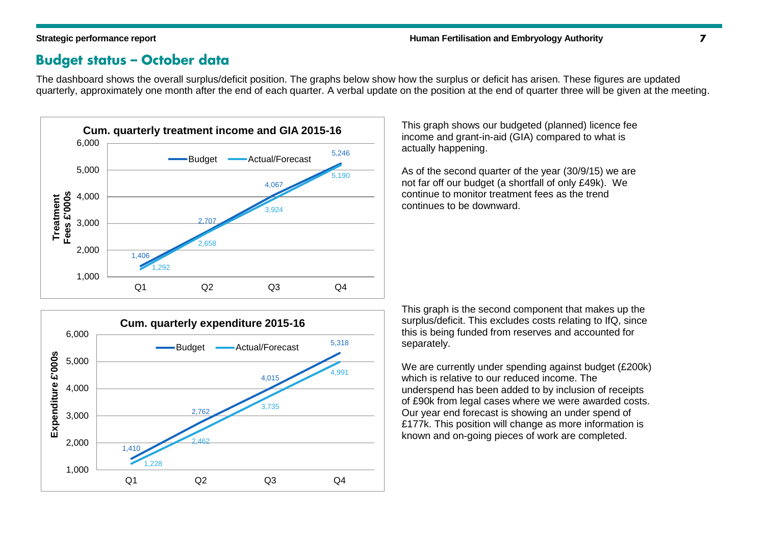## **Budget status - October data**

The dashboard shows the overall surplus/deficit position. The graphs below show how the surplus or deficit has arisen. These figures are updated quarterly, approximately one month after the end of each quarter. A verbal update on the position at the end of quarter three will be given at the meeting.





This graph shows our budgeted (planned) licence fee income and grant-in-aid (GIA) compared to what is actually happening.

As of the second quarter of the year (30/9/15) we are not far off our budget (a shortfall of only £49k). We continue to monitor treatment fees as the trend continues to be downward.

This graph is the second component that makes up the surplus/deficit. This excludes costs relating to IfQ, since this is being funded from reserves and accounted for separately.

We are currently under spending against budget (£200k) which is relative to our reduced income. The underspend has been added to by inclusion of receipts of £90k from legal cases where we were awarded costs. Our year end forecast is showing an under spend of £177k. This position will change as more information is known and on-going pieces of work are completed.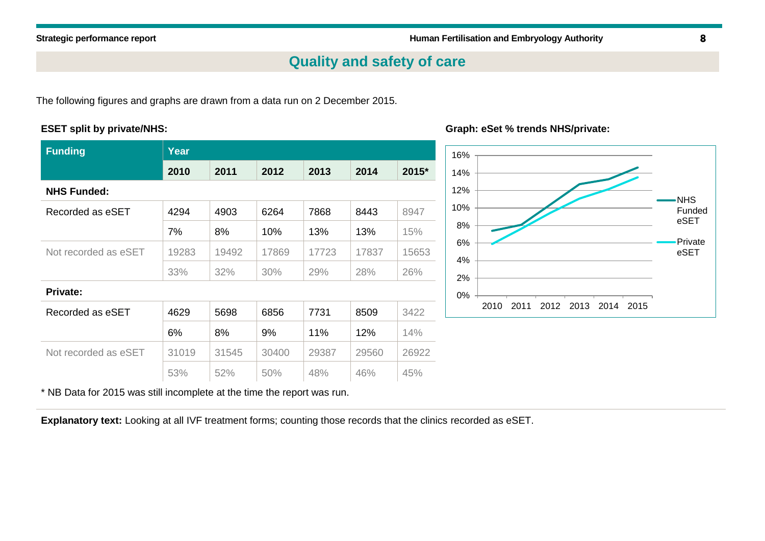# **Quality and safety of care**

The following figures and graphs are drawn from a data run on 2 December 2015.

### **ESET split by private/NHS:**

| <b>Funding</b>       | Year  |       |       |       |       |       |  |  |  |
|----------------------|-------|-------|-------|-------|-------|-------|--|--|--|
|                      | 2010  | 2011  | 2012  | 2013  | 2014  | 2015* |  |  |  |
| <b>NHS Funded:</b>   |       |       |       |       |       |       |  |  |  |
| Recorded as eSET     | 4294  | 4903  | 6264  | 7868  | 8443  | 8947  |  |  |  |
|                      | 7%    | 8%    | 10%   | 13%   | 13%   | 15%   |  |  |  |
| Not recorded as eSET | 19283 | 19492 | 17869 | 17723 | 17837 | 15653 |  |  |  |
|                      | 33%   | 32%   | 30%   | 29%   | 28%   | 26%   |  |  |  |
| <b>Private:</b>      |       |       |       |       |       |       |  |  |  |
| Recorded as eSET     | 4629  | 5698  | 6856  | 7731  | 8509  | 3422  |  |  |  |
|                      | 6%    | 8%    | 9%    | 11%   | 12%   | 14%   |  |  |  |
| Not recorded as eSET | 31019 | 31545 | 30400 | 29387 | 29560 | 26922 |  |  |  |
|                      | 53%   | 52%   | 50%   | 48%   | 46%   | 45%   |  |  |  |

### **Graph: eSet % trends NHS/private:**



\* NB Data for 2015 was still incomplete at the time the report was run.

**Explanatory text:** Looking at all IVF treatment forms; counting those records that the clinics recorded as eSET.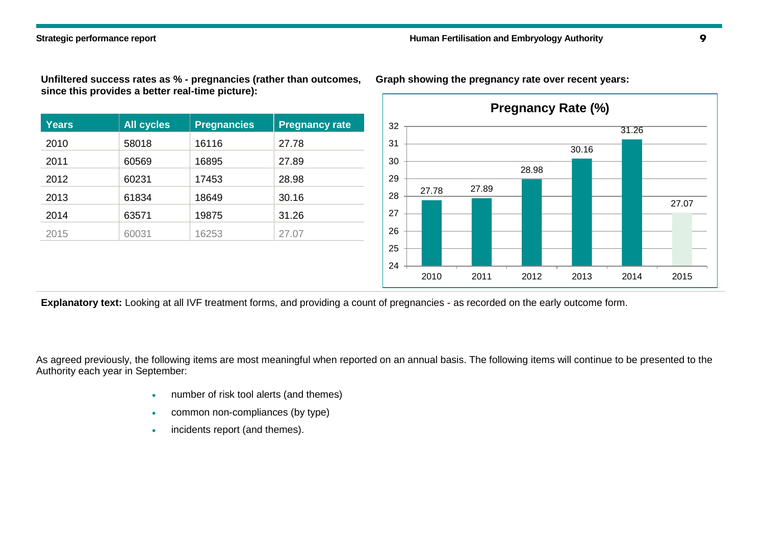**Unfiltered success rates as % - pregnancies (rather than outcomes, since this provides a better real-time picture):**

| <b>Years</b> | <b>All cycles</b> | <b>Pregnancies</b> | <b>Pregnancy rate</b> |
|--------------|-------------------|--------------------|-----------------------|
| 2010         | 58018             | 16116              | 27.78                 |
| 2011         | 60569             | 16895              | 27.89                 |
| 2012         | 60231             | 17453              | 28.98                 |
| 2013         | 61834             | 18649              | 30.16                 |
| 2014         | 63571             | 19875              | 31.26                 |
| 2015         | 60031             | 16253              | 27.07                 |



**Graph showing the pregnancy rate over recent years:**

**Explanatory text:** Looking at all IVF treatment forms, and providing a count of pregnancies - as recorded on the early outcome form.

As agreed previously, the following items are most meaningful when reported on an annual basis. The following items will continue to be presented to the Authority each year in September:

- number of risk tool alerts (and themes)
- common non-compliances (by type)
- incidents report (and themes).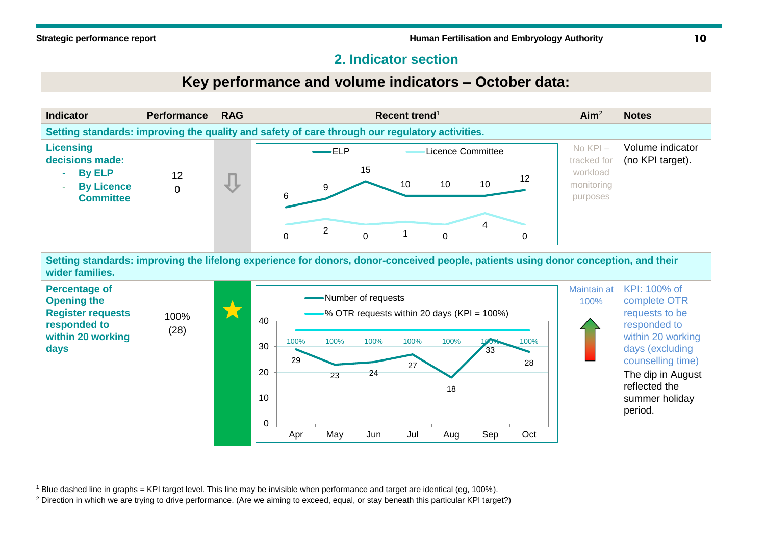-

# **2. Indicator section**

# **Key performance and volume indicators – October data:**





<sup>1</sup> Blue dashed line in graphs = KPI target level. This line may be invisible when performance and target are identical (eg, 100%).

<sup>&</sup>lt;sup>2</sup> Direction in which we are trying to drive performance. (Are we aiming to exceed, equal, or stay beneath this particular KPI target?)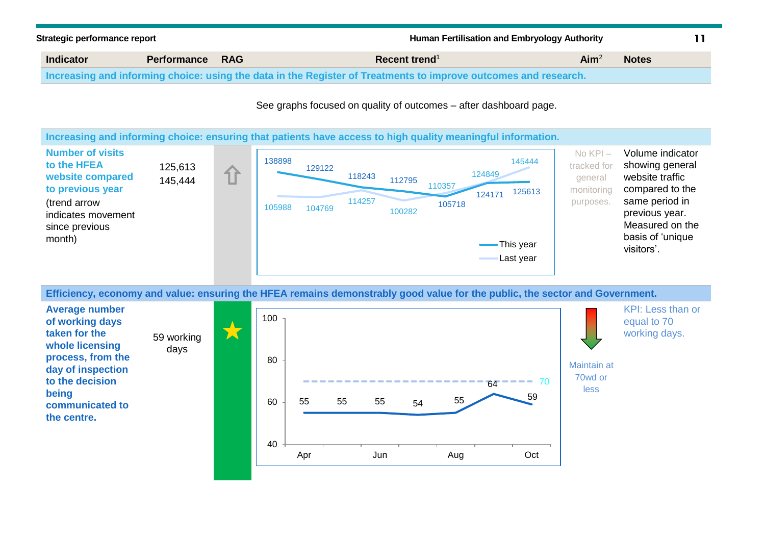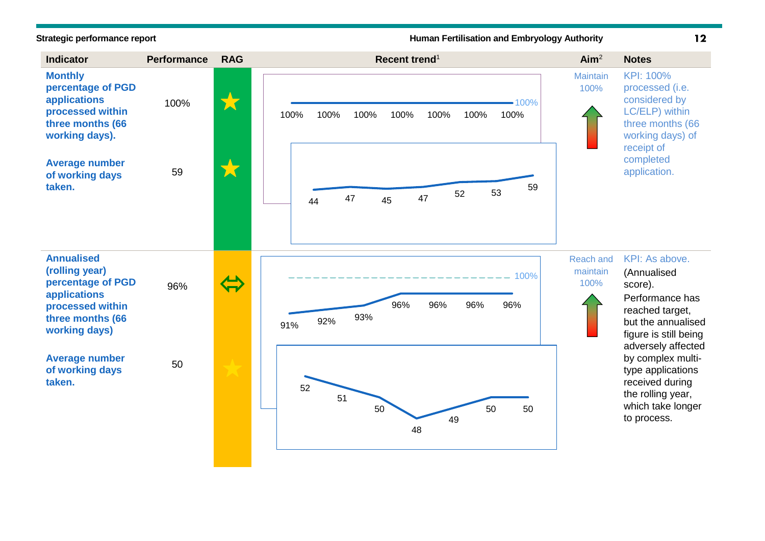### **Strategic performance report Human Fertilisation and Embryology Authority**

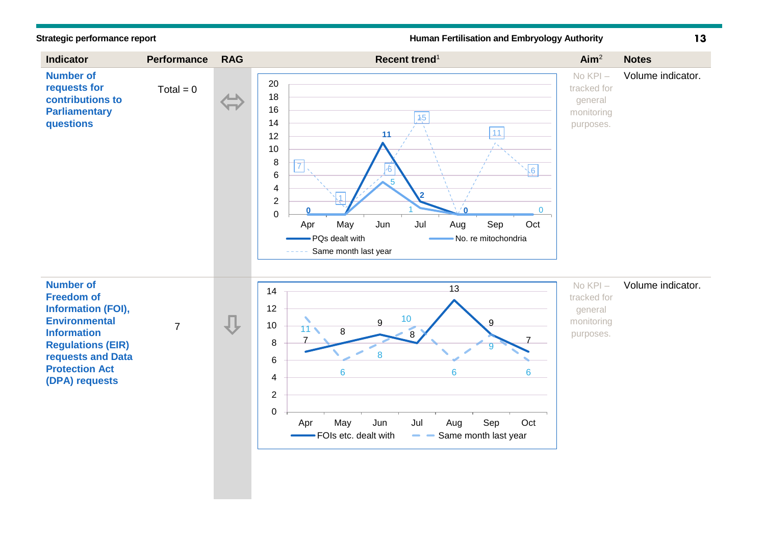**Strategic performance report Human Fertilisation and Embryology Authority**

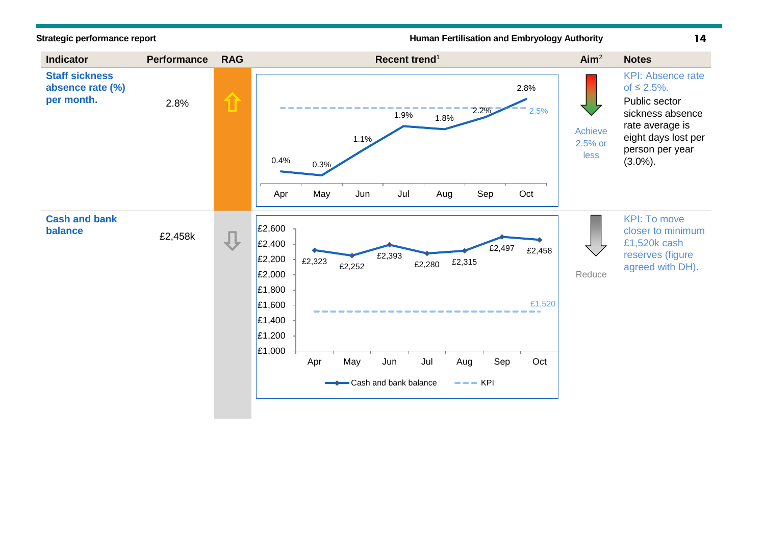**Strategic performance report Human Fertilisation and Embryology Authority**

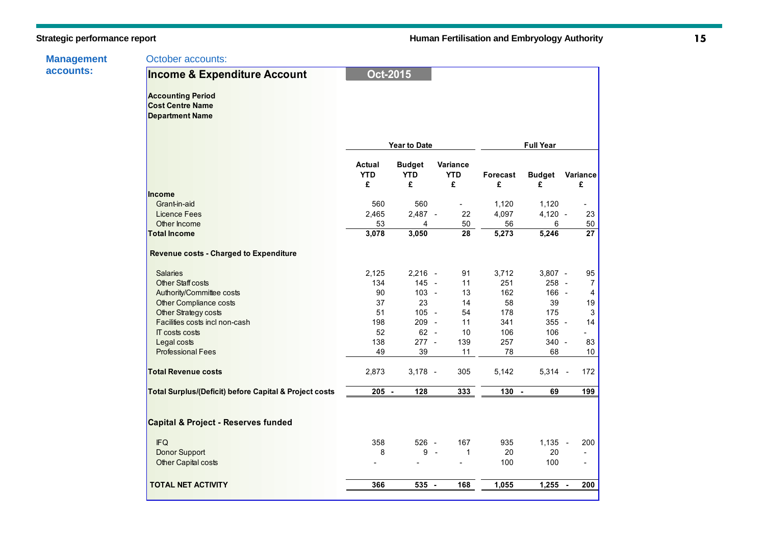| <b>Management</b> |  |
|-------------------|--|
| accounts:         |  |

October accounts:

| <b>Income &amp; Expenditure Account</b>                                       | <b>Oct-2015</b>           |                                  |                             |               |                    |                          |
|-------------------------------------------------------------------------------|---------------------------|----------------------------------|-----------------------------|---------------|--------------------|--------------------------|
| <b>Accounting Period</b><br><b>Cost Centre Name</b><br><b>Department Name</b> |                           |                                  |                             |               |                    |                          |
|                                                                               |                           | <b>Year to Date</b>              |                             |               | <b>Full Year</b>   |                          |
|                                                                               | Actual<br><b>YTD</b><br>£ | <b>Budget</b><br><b>YTD</b><br>£ | Variance<br><b>YTD</b><br>£ | Forecast<br>£ | <b>Budget</b><br>£ | Variance<br>£            |
| <b>Income</b>                                                                 |                           |                                  |                             |               |                    |                          |
| Grant-in-aid                                                                  | 560                       | 560                              |                             | 1,120         | 1,120              |                          |
| <b>Licence Fees</b>                                                           | 2,465                     | $2,487 -$                        | 22                          | 4,097         | $4,120 -$          | 23                       |
| Other Income                                                                  | 53                        | 4                                | 50                          | 56            | 6                  | 50                       |
| <b>Total Income</b>                                                           | 3,078                     | 3,050                            | 28                          | 5,273         | 5,246              | 27                       |
| <b>Revenue costs - Charged to Expenditure</b>                                 |                           |                                  |                             |               |                    |                          |
| <b>Salaries</b>                                                               | 2,125                     | $2,216 -$                        | 91                          | 3,712         | $3,807 -$          | 95                       |
| Other Staff costs                                                             | 134                       | 145 -                            | 11                          | 251           | 258 -              | 7                        |
| Authority/Committee costs                                                     | 90                        | $103 -$                          | 13                          | 162           | $166 -$            | 4                        |
| Other Compliance costs                                                        | 37                        | 23                               | 14                          | 58            | 39                 | 19                       |
| Other Strategy costs                                                          | 51                        | $105 -$                          | 54                          | 178           | 175                | 3                        |
| Facilities costs incl non-cash                                                | 198                       | 209 -                            | 11                          | 341           | $355 -$            | 14                       |
| IT costs costs                                                                | 52                        | $62 -$                           | 10                          | 106           | 106                | L.                       |
| Legal costs                                                                   | 138                       | $277 -$                          | 139                         | 257           | 340 -              | 83                       |
| <b>Professional Fees</b>                                                      | 49                        | 39                               | 11                          | 78            | 68                 | 10                       |
| <b>Total Revenue costs</b>                                                    | 2,873                     | $3,178 -$                        | 305                         | 5,142         | $5,314 -$          | 172                      |
| Total Surplus/(Deficit) before Capital & Project costs                        | $205 -$                   | 128                              | 333                         | $130 -$       | 69                 | 199                      |
| Capital & Project - Reserves funded                                           |                           |                                  |                             |               |                    |                          |
| <b>IFQ</b>                                                                    | 358                       | 526 -                            | 167                         | 935           | 1,135              | 200<br>$\sim$            |
| <b>Donor Support</b>                                                          | 8                         | 9                                | 1<br>$\sim$                 | 20            | 20                 |                          |
| Other Capital costs                                                           |                           |                                  |                             | 100           | 100                | $\overline{\phantom{a}}$ |
| <b>TOTAL NET ACTIVITY</b>                                                     | 366                       | $535 -$                          | 168                         | 1,055         | 1,255              | 200<br>$\sim$            |
|                                                                               |                           |                                  |                             |               |                    |                          |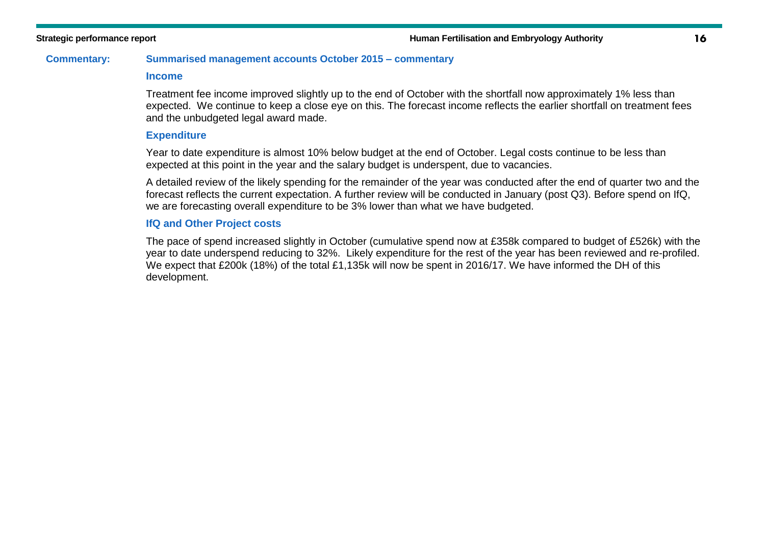### **Commentary: Summarised management accounts October 2015 – commentary**

### **Income**

Treatment fee income improved slightly up to the end of October with the shortfall now approximately 1% less than expected. We continue to keep a close eye on this. The forecast income reflects the earlier shortfall on treatment fees and the unbudgeted legal award made.

### **Expenditure**

Year to date expenditure is almost 10% below budget at the end of October. Legal costs continue to be less than expected at this point in the year and the salary budget is underspent, due to vacancies.

A detailed review of the likely spending for the remainder of the year was conducted after the end of quarter two and the forecast reflects the current expectation. A further review will be conducted in January (post Q3). Before spend on IfQ, we are forecasting overall expenditure to be 3% lower than what we have budgeted.

### **IfQ and Other Project costs**

The pace of spend increased slightly in October (cumulative spend now at £358k compared to budget of £526k) with the year to date underspend reducing to 32%. Likely expenditure for the rest of the year has been reviewed and re-profiled. We expect that £200k (18%) of the total £1,135k will now be spent in 2016/17. We have informed the DH of this development.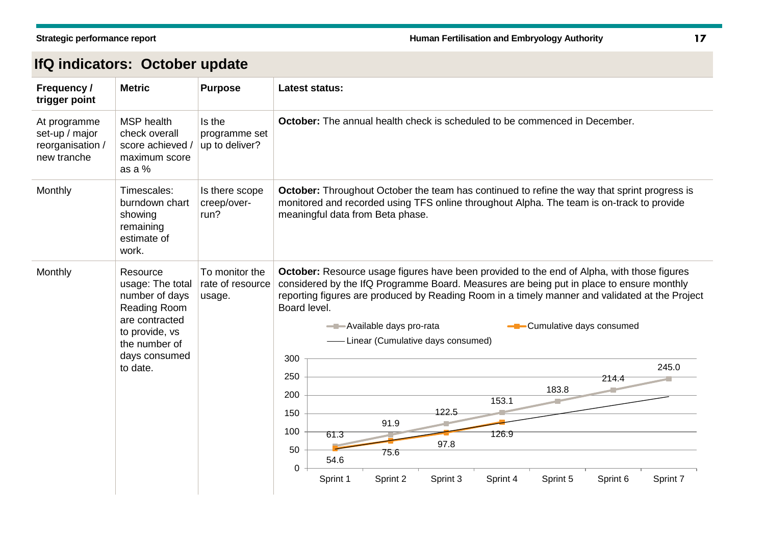# **IfQ indicators: October update**

| Frequency /<br>trigger point                                      | <b>Metric</b>                                                                                                                                    | <b>Purpose</b>                               | Latest status:                                                                                                                                                                                                                                                                                                                                                                                                                                                                                                                                                                                                                                   |  |  |  |  |
|-------------------------------------------------------------------|--------------------------------------------------------------------------------------------------------------------------------------------------|----------------------------------------------|--------------------------------------------------------------------------------------------------------------------------------------------------------------------------------------------------------------------------------------------------------------------------------------------------------------------------------------------------------------------------------------------------------------------------------------------------------------------------------------------------------------------------------------------------------------------------------------------------------------------------------------------------|--|--|--|--|
| At programme<br>set-up / major<br>reorganisation /<br>new tranche | <b>MSP</b> health<br>check overall<br>score achieved /<br>maximum score<br>as a %                                                                | Is the<br>programme set<br>up to deliver?    | October: The annual health check is scheduled to be commenced in December.                                                                                                                                                                                                                                                                                                                                                                                                                                                                                                                                                                       |  |  |  |  |
| Monthly                                                           | Timescales:<br>burndown chart<br>showing<br>remaining<br>estimate of<br>work.                                                                    | Is there scope<br>creep/over-<br>run?        | <b>October:</b> Throughout October the team has continued to refine the way that sprint progress is<br>monitored and recorded using TFS online throughout Alpha. The team is on-track to provide<br>meaningful data from Beta phase.                                                                                                                                                                                                                                                                                                                                                                                                             |  |  |  |  |
| Monthly                                                           | Resource<br>usage: The total<br>number of days<br>Reading Room<br>are contracted<br>to provide, vs<br>the number of<br>days consumed<br>to date. | To monitor the<br>rate of resource<br>usage. | October: Resource usage figures have been provided to the end of Alpha, with those figures<br>considered by the IfQ Programme Board. Measures are being put in place to ensure monthly<br>reporting figures are produced by Reading Room in a timely manner and validated at the Project<br>Board level.<br>- Available days pro-rata<br>Cumulative days consumed<br>Linear (Cumulative days consumed)<br>300<br>245.0<br>250<br>214.4<br>183.8<br>200<br>153.1<br>122.5<br>150<br>91.9<br>100<br>126.9<br>61.3<br>97.8<br>50<br>75.6<br>54.6<br>$\mathbf 0$<br>Sprint 1<br>Sprint 2<br>Sprint 3<br>Sprint 4<br>Sprint 5<br>Sprint 6<br>Sprint 7 |  |  |  |  |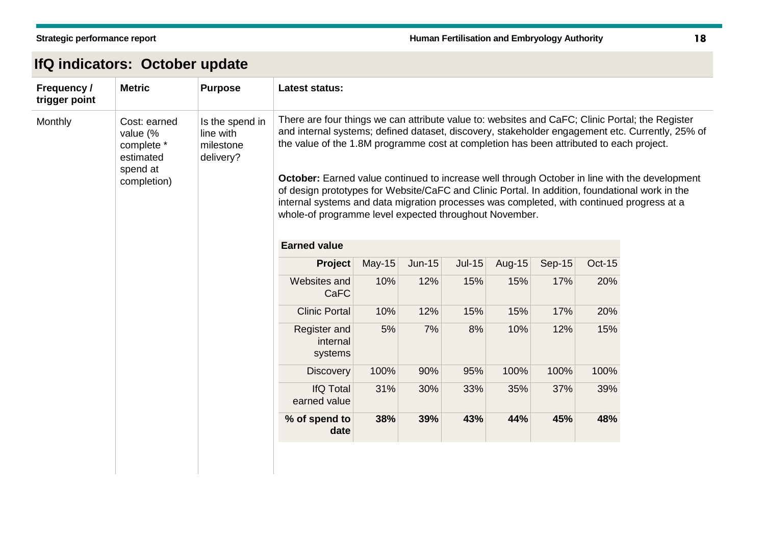| IfQ indicators: October update |  |  |
|--------------------------------|--|--|
|--------------------------------|--|--|

| Frequency /<br>trigger point                                                              | <b>Metric</b>                                          | <b>Purpose</b>                                                                                                                                                                                                                                                                                                                                                | <b>Latest status:</b>               |          |               |        |        |               |                                                                                                 |  |
|-------------------------------------------------------------------------------------------|--------------------------------------------------------|---------------------------------------------------------------------------------------------------------------------------------------------------------------------------------------------------------------------------------------------------------------------------------------------------------------------------------------------------------------|-------------------------------------|----------|---------------|--------|--------|---------------|-------------------------------------------------------------------------------------------------|--|
| Monthly<br>Cost: earned<br>value (%<br>complete *<br>estimated<br>spend at<br>completion) | Is the spend in<br>line with<br>milestone<br>delivery? | There are four things we can attribute value to: websites and CaFC; Clinic Portal; the Register<br>the value of the 1.8M programme cost at completion has been attributed to each project.                                                                                                                                                                    |                                     |          |               |        |        |               | and internal systems; defined dataset, discovery, stakeholder engagement etc. Currently, 25% of |  |
|                                                                                           |                                                        | <b>October:</b> Earned value continued to increase well through October in line with the development<br>of design prototypes for Website/CaFC and Clinic Portal. In addition, foundational work in the<br>internal systems and data migration processes was completed, with continued progress at a<br>whole-of programme level expected throughout November. |                                     |          |               |        |        |               |                                                                                                 |  |
|                                                                                           |                                                        | <b>Earned value</b>                                                                                                                                                                                                                                                                                                                                           |                                     |          |               |        |        |               |                                                                                                 |  |
|                                                                                           |                                                        | Project                                                                                                                                                                                                                                                                                                                                                       | <b>May-15</b>                       | $Jun-15$ | <b>Jul-15</b> | Aug-15 | Sep-15 | <b>Oct-15</b> |                                                                                                 |  |
|                                                                                           |                                                        |                                                                                                                                                                                                                                                                                                                                                               | Websites and<br>CaFC                | 10%      | 12%           | 15%    | 15%    | 17%           | 20%                                                                                             |  |
|                                                                                           |                                                        |                                                                                                                                                                                                                                                                                                                                                               | <b>Clinic Portal</b>                | 10%      | 12%           | 15%    | 15%    | 17%           | 20%                                                                                             |  |
|                                                                                           |                                                        |                                                                                                                                                                                                                                                                                                                                                               | Register and<br>internal<br>systems | 5%       | 7%            | 8%     | 10%    | 12%           | 15%                                                                                             |  |
|                                                                                           |                                                        |                                                                                                                                                                                                                                                                                                                                                               | <b>Discovery</b>                    | 100%     | 90%           | 95%    | 100%   | 100%          | 100%                                                                                            |  |
|                                                                                           |                                                        |                                                                                                                                                                                                                                                                                                                                                               | <b>IfQ Total</b><br>earned value    | 31%      | 30%           | 33%    | 35%    | 37%           | 39%                                                                                             |  |
|                                                                                           |                                                        |                                                                                                                                                                                                                                                                                                                                                               | % of spend to<br>date               | 38%      | 39%           | 43%    | 44%    | 45%           | 48%                                                                                             |  |
|                                                                                           |                                                        |                                                                                                                                                                                                                                                                                                                                                               |                                     |          |               |        |        |               |                                                                                                 |  |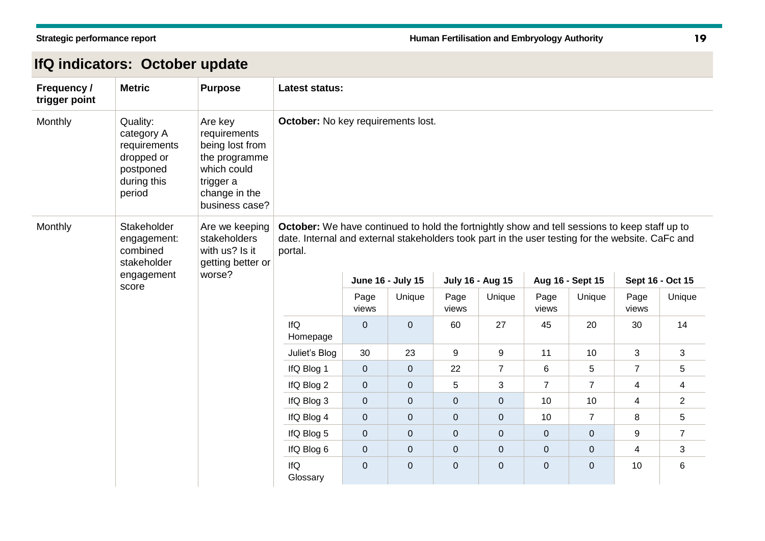# **IfQ indicators: October update**

| <b>Frequency /</b><br>trigger point                                                     | <b>Metric</b>                                                                              | <b>Purpose</b>                                                                                                             | <b>Latest status:</b>                                                                                                                                                                                        |               |                   |                |                         |                |                  |                  |                |
|-----------------------------------------------------------------------------------------|--------------------------------------------------------------------------------------------|----------------------------------------------------------------------------------------------------------------------------|--------------------------------------------------------------------------------------------------------------------------------------------------------------------------------------------------------------|---------------|-------------------|----------------|-------------------------|----------------|------------------|------------------|----------------|
| Monthly                                                                                 | Quality:<br>category A<br>requirements<br>dropped or<br>postponed<br>during this<br>period | Are key<br>requirements<br>being lost from<br>the programme<br>which could<br>trigger a<br>change in the<br>business case? | October: No key requirements lost.                                                                                                                                                                           |               |                   |                |                         |                |                  |                  |                |
| Monthly<br>Stakeholder<br>engagement:<br>combined<br>stakeholder<br>engagement<br>score |                                                                                            | Are we keeping<br>stakeholders<br>with us? Is it<br>getting better or                                                      | October: We have continued to hold the fortnightly show and tell sessions to keep staff up to<br>date. Internal and external stakeholders took part in the user testing for the website. CaFc and<br>portal. |               |                   |                |                         |                |                  |                  |                |
|                                                                                         |                                                                                            | worse?                                                                                                                     |                                                                                                                                                                                                              |               | June 16 - July 15 |                | <b>July 16 - Aug 15</b> |                | Aug 16 - Sept 15 | Sept 16 - Oct 15 |                |
|                                                                                         |                                                                                            |                                                                                                                            |                                                                                                                                                                                                              | Page<br>views | Unique            | Page<br>views  | Unique                  | Page<br>views  | Unique           | Page<br>views    | Unique         |
|                                                                                         |                                                                                            |                                                                                                                            | IfQ<br>Homepage                                                                                                                                                                                              | $\mathbf 0$   | $\mathbf{0}$      | 60             | 27                      | 45             | 20               | 30               | 14             |
|                                                                                         |                                                                                            |                                                                                                                            | Juliet's Blog                                                                                                                                                                                                | 30            | 23                | 9              | 9                       | 11             | 10               | 3                | 3              |
|                                                                                         |                                                                                            |                                                                                                                            | IfQ Blog 1                                                                                                                                                                                                   | $\mathbf 0$   | $\mathbf 0$       | 22             | $\overline{7}$          | 6              | 5                | $\overline{7}$   | 5              |
|                                                                                         |                                                                                            |                                                                                                                            | IfQ Blog 2                                                                                                                                                                                                   | $\mathbf 0$   | $\mathbf 0$       | 5              | 3                       | $\overline{7}$ | $\overline{7}$   | 4                | 4              |
|                                                                                         |                                                                                            |                                                                                                                            | IfQ Blog 3                                                                                                                                                                                                   | $\mathbf 0$   | $\mathbf 0$       | $\pmb{0}$      | 0                       | 10             | 10               | 4                | $\overline{2}$ |
|                                                                                         |                                                                                            |                                                                                                                            | IfQ Blog 4                                                                                                                                                                                                   | $\pmb{0}$     | $\mathbf 0$       | $\pmb{0}$      | 0                       | 10             | $\overline{7}$   | 8                | 5              |
|                                                                                         |                                                                                            |                                                                                                                            | IfQ Blog 5                                                                                                                                                                                                   | $\pmb{0}$     | 0                 | $\pmb{0}$      | 0                       | 0              | 0                | 9                | $\overline{7}$ |
|                                                                                         |                                                                                            |                                                                                                                            | IfQ Blog 6                                                                                                                                                                                                   | $\pmb{0}$     | $\pmb{0}$         | $\overline{0}$ | 0                       | 0              | $\boldsymbol{0}$ | 4                | 3              |
|                                                                                         |                                                                                            | IfQ<br>Glossary                                                                                                            | $\pmb{0}$                                                                                                                                                                                                    | 0             | $\overline{0}$    | $\overline{0}$ | 0                       | $\mathbf{O}$   | 10               | 6                |                |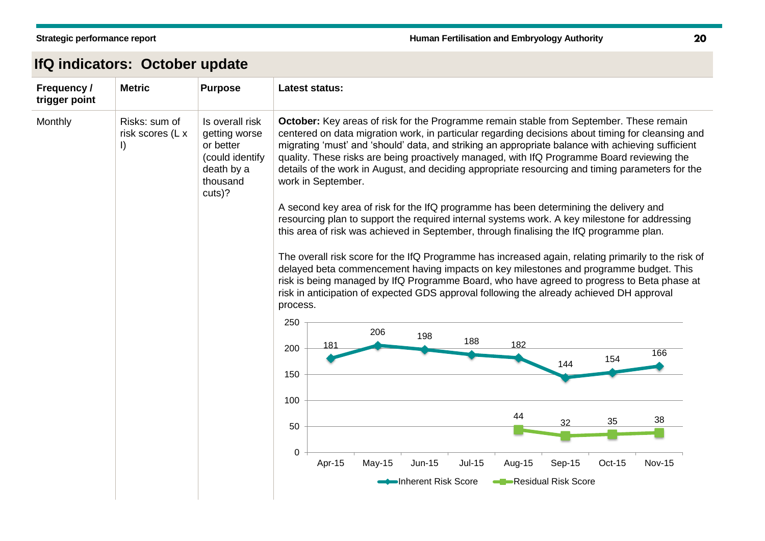# **IfQ indicators: October update**

| <b>Frequency /</b><br>trigger point | <b>Metric</b>                                | <b>Purpose</b>                                                                                       | <b>Latest status:</b>                                                                                                                                                                                                                                                                                                                                                                                                                                                                                                                                                                                                                                                                                                                                                                                                                                                                                                                                                                                                                                                                                                                                                                                                                                                                                                                                                                                                                                                                                             |
|-------------------------------------|----------------------------------------------|------------------------------------------------------------------------------------------------------|-------------------------------------------------------------------------------------------------------------------------------------------------------------------------------------------------------------------------------------------------------------------------------------------------------------------------------------------------------------------------------------------------------------------------------------------------------------------------------------------------------------------------------------------------------------------------------------------------------------------------------------------------------------------------------------------------------------------------------------------------------------------------------------------------------------------------------------------------------------------------------------------------------------------------------------------------------------------------------------------------------------------------------------------------------------------------------------------------------------------------------------------------------------------------------------------------------------------------------------------------------------------------------------------------------------------------------------------------------------------------------------------------------------------------------------------------------------------------------------------------------------------|
| Monthly                             | Risks: sum of<br>risk scores (L x<br>$\vert$ | Is overall risk<br>getting worse<br>or better<br>(could identify<br>death by a<br>thousand<br>cuts)? | <b>October:</b> Key areas of risk for the Programme remain stable from September. These remain<br>centered on data migration work, in particular regarding decisions about timing for cleansing and<br>migrating 'must' and 'should' data, and striking an appropriate balance with achieving sufficient<br>quality. These risks are being proactively managed, with IfQ Programme Board reviewing the<br>details of the work in August, and deciding appropriate resourcing and timing parameters for the<br>work in September.<br>A second key area of risk for the IfQ programme has been determining the delivery and<br>resourcing plan to support the required internal systems work. A key milestone for addressing<br>this area of risk was achieved in September, through finalising the IfQ programme plan.<br>The overall risk score for the IfQ Programme has increased again, relating primarily to the risk of<br>delayed beta commencement having impacts on key milestones and programme budget. This<br>risk is being managed by IfQ Programme Board, who have agreed to progress to Beta phase at<br>risk in anticipation of expected GDS approval following the already achieved DH approval<br>process.<br>250<br>206<br>198<br>188<br>182<br>181<br>200<br>166<br>154<br>144<br>150<br>100<br>44<br>38<br>35<br>32<br>50<br>$\mathbf 0$<br>Apr-15<br>$May-15$<br><b>Jun-15</b><br><b>Jul-15</b><br>Sep-15<br><b>Nov-15</b><br>Aug-15<br>Oct-15<br>Inherent Risk Score<br>Residual Risk Score |
|                                     |                                              |                                                                                                      |                                                                                                                                                                                                                                                                                                                                                                                                                                                                                                                                                                                                                                                                                                                                                                                                                                                                                                                                                                                                                                                                                                                                                                                                                                                                                                                                                                                                                                                                                                                   |